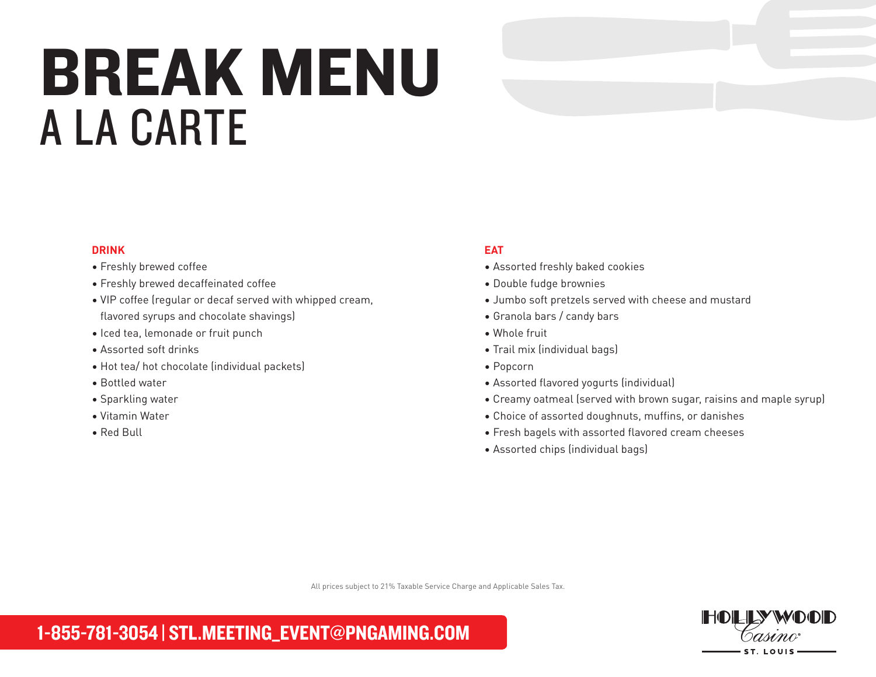# BREAK MENU A LA CARTE

### **DRINK**

### • Freshly brewed coffee

- Freshly brewed decaffeinated coffee
- VIP coffee (regular or decaf served with whipped cream, flavored syrups and chocolate shavings)
- Iced tea, lemonade or fruit punch
- Assorted soft drinks
- Hot tea/ hot chocolate (individual packets)
- Bottled water
- Sparkling water
- Vitamin Water
- Red Bull

## **EAT**

- Assorted freshly baked cookies
- Double fudge brownies
- Jumbo soft pretzels served with cheese and mustard
- Granola bars / candy bars
- Whole fruit
- Trail mix (individual bags)
- Popcorn
- Assorted flavored yogurts (individual)
- Creamy oatmeal (served with brown sugar, raisins and maple syrup)
- Choice of assorted doughnuts, muffins, or danishes
- Fresh bagels with assorted flavored cream cheeses
- Assorted chips (individual bags)

All prices subject to 21% Taxable Service Charge and Applicable Sales Tax.